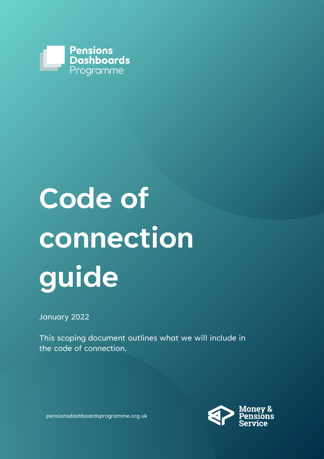

# **Code of connection guide**

January 2022

This scoping document outlines what we will include in the code of connection.



pensionsdashboardsprogramme.org.uk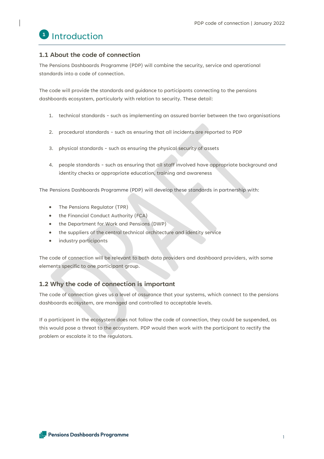

#### **1.1 About the code of connection**

The Pensions Dashboards Programme (PDP) will combine the security, service and operational standards into a code of connection.

The code will provide the standards and guidance to participants connecting to the pensions dashboards ecosystem, particularly with relation to security. These detail:

- 1. technical standards such as implementing an assured barrier between the two organisations
- 2. procedural standards such as ensuring that all incidents are reported to PDP
- 3. physical standards such as ensuring the physical security of assets
- 4. people standards such as ensuring that all staff involved have appropriate background and identity checks or appropriate education, training and awareness

The Pensions Dashboards Programme (PDP) will develop these standards in partnership with:

- The Pensions Regulator (TPR)
- the Financial Conduct Authority (FCA)
- the Department for Work and Pensions (DWP)
- the suppliers of the central technical architecture and identity service
- industry participants

The code of connection will be relevant to both data providers and dashboard providers, with some elements specific to one participant group.

#### **1.2 Why the code of connection is important**

The code of connection gives us a level of assurance that your systems, which connect to the pensions dashboards ecosystem, are managed and controlled to acceptable levels.

If a participant in the ecosystem does not follow the code of connection, they could be suspended, as this would pose a threat to the ecosystem. PDP would then work with the participant to rectify the problem or escalate it to the regulators.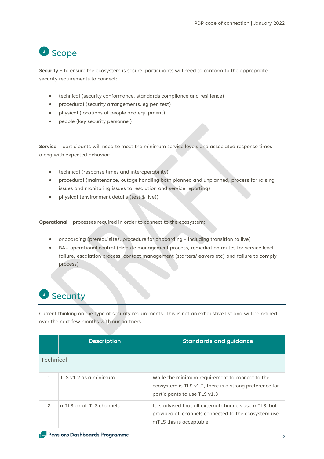#### Scope **2**

**Security** - to ensure the ecosystem is secure, participants will need to conform to the appropriate security requirements to connect:

- technical (security conformance, standards compliance and resilience)
- procedural (security arrangements, eg pen test)
- physical (locations of people and equipment)
- people (key security personnel)

**Service** – participants will need to meet the minimum service levels and associated response times along with expected behavior:

- technical (response times and interoperability)
- procedural (maintenance, outage handling both planned and unplanned, process for raising issues and monitoring issues to resolution and service reporting)
- physical (environment details (test & live))

**Operational** - processes required in order to connect to the ecosystem:

- onboarding (prerequisites, procedure for onboarding including transition to live)
- BAU operational control (dispute management process, remediation routes for service level failure, escalation process, contact management (starters/leavers etc) and failure to comply process)

#### Security **3**

Current thinking on the type of security requirements. This is not an exhaustive list and will be refined over the next few months with our partners.

|               | <b>Description</b>       | <b>Standards and guidance</b>                                                                                                              |
|---------------|--------------------------|--------------------------------------------------------------------------------------------------------------------------------------------|
| Technical     |                          |                                                                                                                                            |
|               | TLS v1.2 as a minimum    | While the minimum requirement to connect to the<br>ecosystem is TLS v1.2, there is a strong preference for<br>participants to use TLS v1.3 |
| $\mathcal{P}$ | mTLS on all TLS channels | It is advised that all external channels use mTLS, but<br>provided all channels connected to the ecosystem use<br>mTLS this is acceptable  |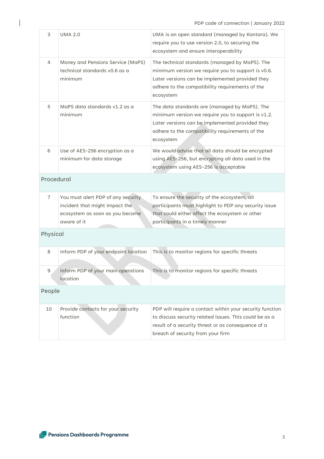| 3              | <b>UMA 2.0</b>                                                                                                         | UMA is an open standard (managed by Kantara). We<br>require you to use version 2.0, to securing the<br>ecosystem and ensure interoperability                                                                            |  |  |
|----------------|------------------------------------------------------------------------------------------------------------------------|-------------------------------------------------------------------------------------------------------------------------------------------------------------------------------------------------------------------------|--|--|
| 4              | Money and Pensions Service (MaPS)<br>technical standards v0.6 as a<br>minimum                                          | The technical standards (managed by MaPS). The<br>minimum version we require you to support is v0.6.<br>Later versions can be implemented provided they<br>adhere to the compatibility requirements of the<br>ecosystem |  |  |
| 5              | MaPS data standards v1.2 as a<br>minimum                                                                               | The data standards are (managed by MaPS). The<br>minimum version we require you to support is v1.2.<br>Later versions can be implemented provided they<br>adhere to the compatibility requirements of the<br>ecosystem  |  |  |
| 6              | Use of AES-256 encryption as a<br>minimum for data storage                                                             | We would advise that all data should be encrypted<br>using AES-256, but encrypting all data used in the<br>ecosystem using AES-256 is acceptable                                                                        |  |  |
| Procedural     |                                                                                                                        |                                                                                                                                                                                                                         |  |  |
| $\overline{7}$ | You must alert PDP of any security<br>incident that might impact the<br>ecosystem as soon as you become<br>aware of it | To ensure the security of the ecosystem, all<br>participants must highlight to PDP any security issue<br>that could either affect the ecosystem or other<br>participants in a timely manner                             |  |  |
| Physical       |                                                                                                                        |                                                                                                                                                                                                                         |  |  |
| 8              | Inform PDP of your endpoint location                                                                                   | This is to monitor regions for specific threats                                                                                                                                                                         |  |  |
| 9              | Inform PDP of your main operations<br>location                                                                         | This is to monitor regions for specific threats                                                                                                                                                                         |  |  |
| People         |                                                                                                                        |                                                                                                                                                                                                                         |  |  |
| 10             | Provide contacts for your security<br>function                                                                         | PDP will require a contact within your security function<br>to discuss security related issues. This could be as a<br>result of a security threat or as consequence of a<br>breach of security from your firm           |  |  |
|                |                                                                                                                        |                                                                                                                                                                                                                         |  |  |

 $\begin{array}{c} \end{array}$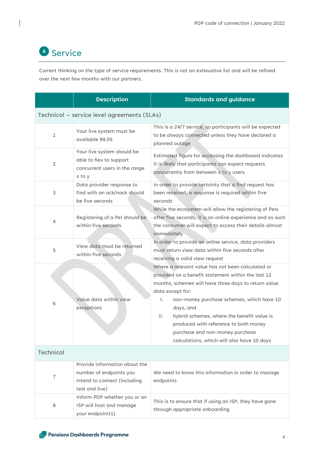## <sup>4</sup> Service

Current thinking on the type of service requirements. This is not an exhaustive list and will be refined over the next few months with our partners.

|                                             | <b>Description</b>                                                                                         | <b>Standards and guidance</b>                                                                                                                                                                                                                                                                                                                                                                                                                  |  |  |
|---------------------------------------------|------------------------------------------------------------------------------------------------------------|------------------------------------------------------------------------------------------------------------------------------------------------------------------------------------------------------------------------------------------------------------------------------------------------------------------------------------------------------------------------------------------------------------------------------------------------|--|--|
| Technical - service level agreements (SLAs) |                                                                                                            |                                                                                                                                                                                                                                                                                                                                                                                                                                                |  |  |
| $\mathbf{1}$                                | Your live system must be<br>available 99.5%                                                                | This is a 24/7 service, so participants will be expected<br>to be always connected unless they have declared a<br>planned outage                                                                                                                                                                                                                                                                                                               |  |  |
| 2                                           | Your live system should be<br>able to flex to support<br>concurrent users in the range<br>x to y           | Estimated figure for accessing the dashboard indicates<br>it is likely that participants can expect requests<br>concurrently from between x to y users                                                                                                                                                                                                                                                                                         |  |  |
| 3                                           | Data provider response to<br>find with an ack/nack should<br>be five seconds                               | In order to provide certainty that a find request has<br>been received, a response is required within five<br>seconds<br>While the ecosystem will allow the registering of PeIs                                                                                                                                                                                                                                                                |  |  |
| $\overline{4}$                              | Registering of a PeI should be<br>within five seconds                                                      | after five seconds, it is an online experience and as such<br>the consumer will expect to access their details almost<br>immediately                                                                                                                                                                                                                                                                                                           |  |  |
| 5                                           | View data must be returned<br>within five seconds                                                          | In order to provide an online service, data providers<br>must return view data within five seconds after<br>receiving a valid view request                                                                                                                                                                                                                                                                                                     |  |  |
| 6                                           | Value data within view<br>exceptions                                                                       | Where a relevant value has not been calculated or<br>provided on a benefit statement within the last 12<br>months, schemes will have three days to return value<br>data except for:<br>Ι.<br>non-money purchase schemes, which have 10<br>days, and<br>hybrid schemes, where the benefit value is<br>$\mathbf{II}$ .<br>produced with reference to both money<br>purchase and non-money purchase<br>calculations, which will also have 10 days |  |  |
| <b>Technical</b>                            |                                                                                                            |                                                                                                                                                                                                                                                                                                                                                                                                                                                |  |  |
| $\overline{7}$                              | Provide information about the<br>number of endpoints you<br>intend to connect (including<br>test and live) | We need to know this information in order to manage<br>endpoints                                                                                                                                                                                                                                                                                                                                                                               |  |  |
| 8                                           | Inform PDP whether you or an<br>ISP will host and manage<br>your endpoint(s)                               | This is to ensure that if using an ISP, they have gone<br>through appropriate onboarding                                                                                                                                                                                                                                                                                                                                                       |  |  |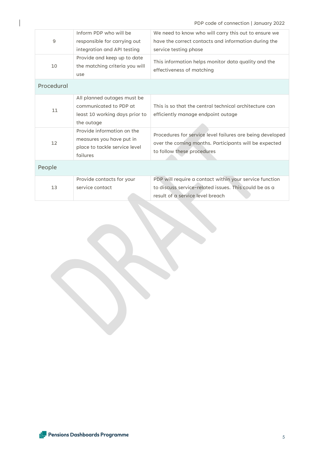| 9          | Inform PDP who will be<br>responsible for carrying out<br>integration and API testing                 | We need to know who will carry this out to ensure we<br>have the correct contacts and information during the<br>service testing phase                |
|------------|-------------------------------------------------------------------------------------------------------|------------------------------------------------------------------------------------------------------------------------------------------------------|
| 10         | Provide and keep up to date<br>the matching criteria you will<br>use                                  | This information helps monitor data quality and the<br>effectiveness of matching                                                                     |
| Procedural |                                                                                                       |                                                                                                                                                      |
| 11         | All planned outages must be<br>communicated to PDP at<br>least 10 working days prior to<br>the outage | This is so that the central technical architecture can<br>efficiently manage endpoint outage                                                         |
| 12         | Provide information on the<br>measures you have put in<br>place to tackle service level<br>failures   | Procedures for service level failures are being developed<br>over the coming months. Participants will be expected<br>to follow these procedures     |
| People     |                                                                                                       |                                                                                                                                                      |
| 13         | Provide contacts for your<br>service contact                                                          | PDP will require a contact within your service function<br>to discuss service-related issues. This could be as a<br>result of a service level breach |